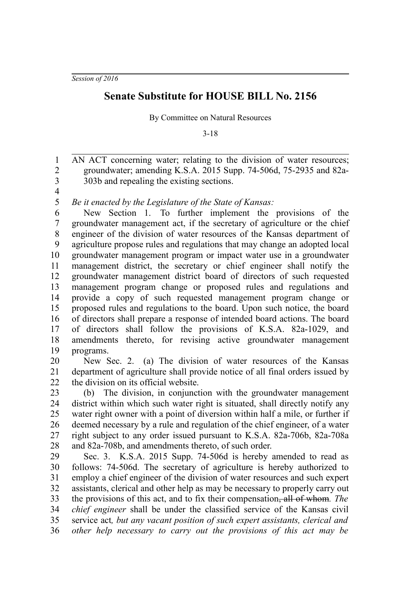*Session of 2016*

## **Senate Substitute for HOUSE BILL No. 2156**

By Committee on Natural Resources

3-18

AN ACT concerning water; relating to the division of water resources; groundwater; amending K.S.A. 2015 Supp. 74-506d, 75-2935 and 82a-303b and repealing the existing sections. 1 2 3

4

*Be it enacted by the Legislature of the State of Kansas:* 5

New Section 1. To further implement the provisions of the groundwater management act, if the secretary of agriculture or the chief engineer of the division of water resources of the Kansas department of agriculture propose rules and regulations that may change an adopted local groundwater management program or impact water use in a groundwater management district, the secretary or chief engineer shall notify the groundwater management district board of directors of such requested management program change or proposed rules and regulations and provide a copy of such requested management program change or proposed rules and regulations to the board. Upon such notice, the board of directors shall prepare a response of intended board actions. The board of directors shall follow the provisions of K.S.A. 82a-1029, and amendments thereto, for revising active groundwater management programs. 6 7 8 9 10 11 12 13 14 15 16 17 18 19

New Sec. 2. (a) The division of water resources of the Kansas department of agriculture shall provide notice of all final orders issued by the division on its official website. 20 21 22

(b) The division, in conjunction with the groundwater management district within which such water right is situated, shall directly notify any water right owner with a point of diversion within half a mile, or further if deemed necessary by a rule and regulation of the chief engineer, of a water right subject to any order issued pursuant to K.S.A. 82a-706b, 82a-708a and 82a-708b, and amendments thereto, of such order. 23 24 25 26 27 28

Sec. 3. K.S.A. 2015 Supp. 74-506d is hereby amended to read as follows: 74-506d. The secretary of agriculture is hereby authorized to employ a chief engineer of the division of water resources and such expert assistants, clerical and other help as may be necessary to properly carry out the provisions of this act, and to fix their compensation, all of whom*. The chief engineer* shall be under the classified service of the Kansas civil service act*, but any vacant position of such expert assistants, clerical and other help necessary to carry out the provisions of this act may be* 29 30 31 32 33 34 35 36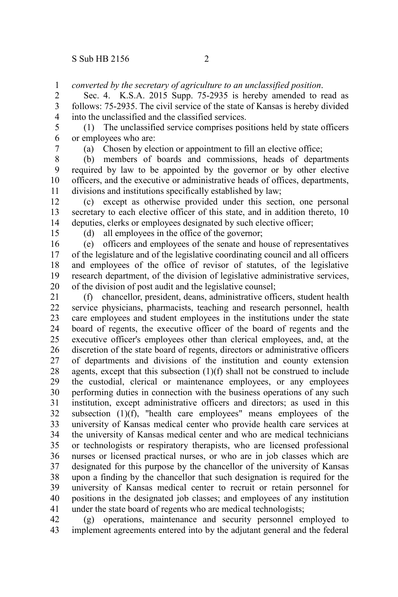*converted by the secretary of agriculture to an unclassified position*. 1

Sec. 4. K.S.A. 2015 Supp. 75-2935 is hereby amended to read as follows: 75-2935. The civil service of the state of Kansas is hereby divided into the unclassified and the classified services. 2 3 4

(1) The unclassified service comprises positions held by state officers or employees who are: 5 6

7

(a) Chosen by election or appointment to fill an elective office;

(b) members of boards and commissions, heads of departments required by law to be appointed by the governor or by other elective officers, and the executive or administrative heads of offices, departments, divisions and institutions specifically established by law; 8 9 10 11

(c) except as otherwise provided under this section, one personal secretary to each elective officer of this state, and in addition thereto, 10 deputies, clerks or employees designated by such elective officer; 12 13 14

15

(d) all employees in the office of the governor;

(e) officers and employees of the senate and house of representatives of the legislature and of the legislative coordinating council and all officers and employees of the office of revisor of statutes, of the legislative research department, of the division of legislative administrative services, of the division of post audit and the legislative counsel; 16 17 18 19 20

(f) chancellor, president, deans, administrative officers, student health service physicians, pharmacists, teaching and research personnel, health care employees and student employees in the institutions under the state board of regents, the executive officer of the board of regents and the executive officer's employees other than clerical employees, and, at the discretion of the state board of regents, directors or administrative officers of departments and divisions of the institution and county extension agents, except that this subsection (1)(f) shall not be construed to include the custodial, clerical or maintenance employees, or any employees performing duties in connection with the business operations of any such institution, except administrative officers and directors; as used in this subsection (1)(f), "health care employees" means employees of the university of Kansas medical center who provide health care services at the university of Kansas medical center and who are medical technicians or technologists or respiratory therapists, who are licensed professional nurses or licensed practical nurses, or who are in job classes which are designated for this purpose by the chancellor of the university of Kansas upon a finding by the chancellor that such designation is required for the university of Kansas medical center to recruit or retain personnel for positions in the designated job classes; and employees of any institution under the state board of regents who are medical technologists; 21 22 23 24 25 26 27 28 29 30 31 32 33 34 35 36 37 38 39 40 41

(g) operations, maintenance and security personnel employed to implement agreements entered into by the adjutant general and the federal 42 43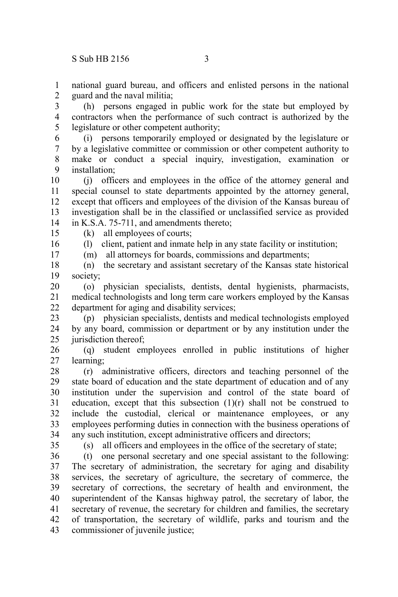national guard bureau, and officers and enlisted persons in the national guard and the naval militia; 1 2

(h) persons engaged in public work for the state but employed by contractors when the performance of such contract is authorized by the legislature or other competent authority; 3 4 5

(i) persons temporarily employed or designated by the legislature or by a legislative committee or commission or other competent authority to make or conduct a special inquiry, investigation, examination or installation; 6 7 8 9

(j) officers and employees in the office of the attorney general and special counsel to state departments appointed by the attorney general, except that officers and employees of the division of the Kansas bureau of investigation shall be in the classified or unclassified service as provided in K.S.A. 75-711, and amendments thereto; 10 11 12 13 14

15

(k) all employees of courts;

16 17 (l) client, patient and inmate help in any state facility or institution; (m) all attorneys for boards, commissions and departments;

(n) the secretary and assistant secretary of the Kansas state historical society; 18 19

(o) physician specialists, dentists, dental hygienists, pharmacists, medical technologists and long term care workers employed by the Kansas department for aging and disability services; 20 21 22

(p) physician specialists, dentists and medical technologists employed by any board, commission or department or by any institution under the jurisdiction thereof; 23 24 25

(q) student employees enrolled in public institutions of higher learning; 26 27

(r) administrative officers, directors and teaching personnel of the state board of education and the state department of education and of any institution under the supervision and control of the state board of education, except that this subsection (1)(r) shall not be construed to include the custodial, clerical or maintenance employees, or any employees performing duties in connection with the business operations of any such institution, except administrative officers and directors; 28 29 30 31 32 33 34

35

(s) all officers and employees in the office of the secretary of state;

(t) one personal secretary and one special assistant to the following: The secretary of administration, the secretary for aging and disability services, the secretary of agriculture, the secretary of commerce, the secretary of corrections, the secretary of health and environment, the superintendent of the Kansas highway patrol, the secretary of labor, the secretary of revenue, the secretary for children and families, the secretary of transportation, the secretary of wildlife, parks and tourism and the commissioner of juvenile justice; 36 37 38 39 40 41 42 43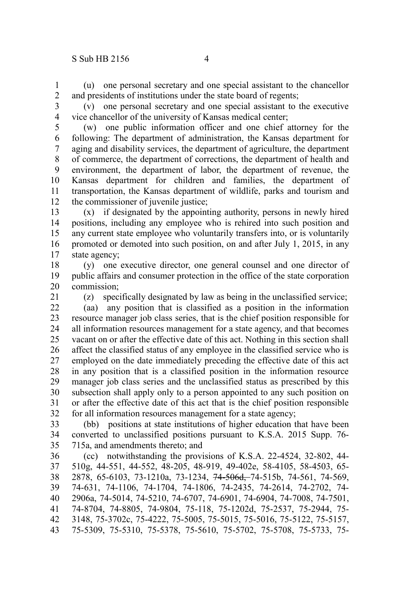(u) one personal secretary and one special assistant to the chancellor and presidents of institutions under the state board of regents; 1 2

3

(v) one personal secretary and one special assistant to the executive vice chancellor of the university of Kansas medical center;

4

(w) one public information officer and one chief attorney for the following: The department of administration, the Kansas department for aging and disability services, the department of agriculture, the department of commerce, the department of corrections, the department of health and environment, the department of labor, the department of revenue, the Kansas department for children and families, the department of transportation, the Kansas department of wildlife, parks and tourism and the commissioner of juvenile justice; 5 6 7 8 9 10 11 12

(x) if designated by the appointing authority, persons in newly hired positions, including any employee who is rehired into such position and any current state employee who voluntarily transfers into, or is voluntarily promoted or demoted into such position, on and after July 1, 2015, in any state agency; 13 14 15 16 17

(y) one executive director, one general counsel and one director of public affairs and consumer protection in the office of the state corporation commission; 18 19 20

21

(z) specifically designated by law as being in the unclassified service;

(aa) any position that is classified as a position in the information resource manager job class series, that is the chief position responsible for all information resources management for a state agency, and that becomes vacant on or after the effective date of this act. Nothing in this section shall affect the classified status of any employee in the classified service who is employed on the date immediately preceding the effective date of this act in any position that is a classified position in the information resource manager job class series and the unclassified status as prescribed by this subsection shall apply only to a person appointed to any such position on or after the effective date of this act that is the chief position responsible for all information resources management for a state agency; 22 23 24 25 26 27 28 29 30 31 32

(bb) positions at state institutions of higher education that have been converted to unclassified positions pursuant to K.S.A. 2015 Supp. 76- 715a, and amendments thereto; and 33 34 35

(cc) notwithstanding the provisions of K.S.A. 22-4524, 32-802, 44- 510g, 44-551, 44-552, 48-205, 48-919, 49-402e, 58-4105, 58-4503, 65- 2878, 65-6103, 73-1210a, 73-1234, 74-506d, 74-515b, 74-561, 74-569, 74-631, 74-1106, 74-1704, 74-1806, 74-2435, 74-2614, 74-2702, 74- 2906a, 74-5014, 74-5210, 74-6707, 74-6901, 74-6904, 74-7008, 74-7501, 74-8704, 74-8805, 74-9804, 75-118, 75-1202d, 75-2537, 75-2944, 75- 3148, 75-3702c, 75-4222, 75-5005, 75-5015, 75-5016, 75-5122, 75-5157, 75-5309, 75-5310, 75-5378, 75-5610, 75-5702, 75-5708, 75-5733, 75- 36 37 38 39 40 41 42 43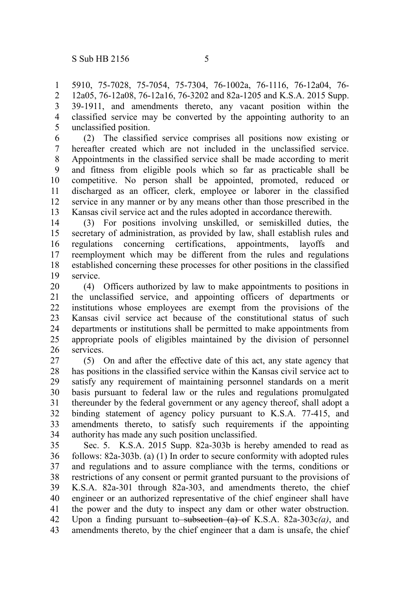5910, 75-7028, 75-7054, 75-7304, 76-1002a, 76-1116, 76-12a04, 76- 12a05, 76-12a08, 76-12a16, 76-3202 and 82a-1205 and K.S.A. 2015 Supp. 39-1911, and amendments thereto, any vacant position within the classified service may be converted by the appointing authority to an unclassified position. 1 2 3 4 5

(2) The classified service comprises all positions now existing or hereafter created which are not included in the unclassified service. Appointments in the classified service shall be made according to merit and fitness from eligible pools which so far as practicable shall be competitive. No person shall be appointed, promoted, reduced or discharged as an officer, clerk, employee or laborer in the classified service in any manner or by any means other than those prescribed in the Kansas civil service act and the rules adopted in accordance therewith. 6 7 8 9 10 11 12 13

(3) For positions involving unskilled, or semiskilled duties, the secretary of administration, as provided by law, shall establish rules and regulations concerning certifications, appointments, layoffs and reemployment which may be different from the rules and regulations established concerning these processes for other positions in the classified service. 14 15 16 17 18 19

(4) Officers authorized by law to make appointments to positions in the unclassified service, and appointing officers of departments or institutions whose employees are exempt from the provisions of the Kansas civil service act because of the constitutional status of such departments or institutions shall be permitted to make appointments from appropriate pools of eligibles maintained by the division of personnel services. 20 21 22 23 24 25 26

(5) On and after the effective date of this act, any state agency that has positions in the classified service within the Kansas civil service act to satisfy any requirement of maintaining personnel standards on a merit basis pursuant to federal law or the rules and regulations promulgated thereunder by the federal government or any agency thereof, shall adopt a binding statement of agency policy pursuant to K.S.A. 77-415, and amendments thereto, to satisfy such requirements if the appointing authority has made any such position unclassified. 27 28 29 30 31 32 33 34

Sec. 5. K.S.A. 2015 Supp. 82a-303b is hereby amended to read as follows: 82a-303b. (a) (1) In order to secure conformity with adopted rules and regulations and to assure compliance with the terms, conditions or restrictions of any consent or permit granted pursuant to the provisions of K.S.A. 82a-301 through 82a-303, and amendments thereto, the chief engineer or an authorized representative of the chief engineer shall have the power and the duty to inspect any dam or other water obstruction. Upon a finding pursuant to subsection (a) of K.S.A. 82a-303c*(a)*, and amendments thereto, by the chief engineer that a dam is unsafe, the chief 35 36 37 38 39 40 41 42 43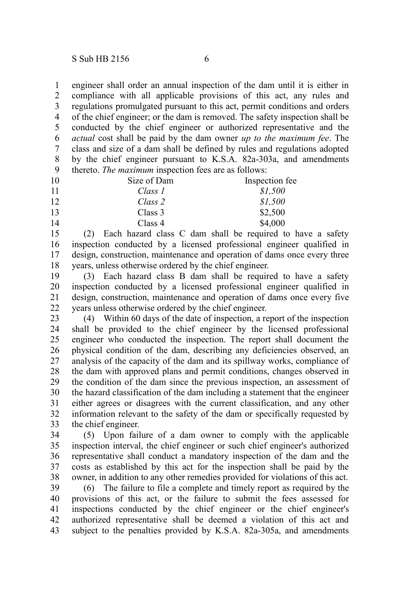engineer shall order an annual inspection of the dam until it is either in compliance with all applicable provisions of this act, any rules and regulations promulgated pursuant to this act, permit conditions and orders of the chief engineer; or the dam is removed. The safety inspection shall be conducted by the chief engineer or authorized representative and the *actual* cost shall be paid by the dam owner *up to the maximum fee*. The class and size of a dam shall be defined by rules and regulations adopted by the chief engineer pursuant to K.S.A. 82a-303a, and amendments thereto. *The maximum* inspection fees are as follows: 1 2 3 4 5 6 7 8 9

| 10 | Size of Dam | Inspection fee |
|----|-------------|----------------|
| 11 | Class 1     | \$1.500        |
| 12 | Class 2     | \$1,500        |
| 13 | Class 3     | \$2,500        |
| 14 | Class 4     | \$4,000        |

(2) Each hazard class C dam shall be required to have a safety inspection conducted by a licensed professional engineer qualified in design, construction, maintenance and operation of dams once every three years, unless otherwise ordered by the chief engineer. 15 16 17 18

(3) Each hazard class B dam shall be required to have a safety inspection conducted by a licensed professional engineer qualified in design, construction, maintenance and operation of dams once every five years unless otherwise ordered by the chief engineer. 19 20 21 22

(4) Within 60 days of the date of inspection, a report of the inspection shall be provided to the chief engineer by the licensed professional engineer who conducted the inspection. The report shall document the physical condition of the dam, describing any deficiencies observed, an analysis of the capacity of the dam and its spillway works, compliance of the dam with approved plans and permit conditions, changes observed in the condition of the dam since the previous inspection, an assessment of the hazard classification of the dam including a statement that the engineer either agrees or disagrees with the current classification, and any other information relevant to the safety of the dam or specifically requested by the chief engineer. 23 24 25 26 27 28 29 30 31 32 33

(5) Upon failure of a dam owner to comply with the applicable inspection interval, the chief engineer or such chief engineer's authorized representative shall conduct a mandatory inspection of the dam and the costs as established by this act for the inspection shall be paid by the owner, in addition to any other remedies provided for violations of this act. 34 35 36 37 38

(6) The failure to file a complete and timely report as required by the provisions of this act, or the failure to submit the fees assessed for inspections conducted by the chief engineer or the chief engineer's authorized representative shall be deemed a violation of this act and subject to the penalties provided by K.S.A. 82a-305a, and amendments 39 40 41 42 43